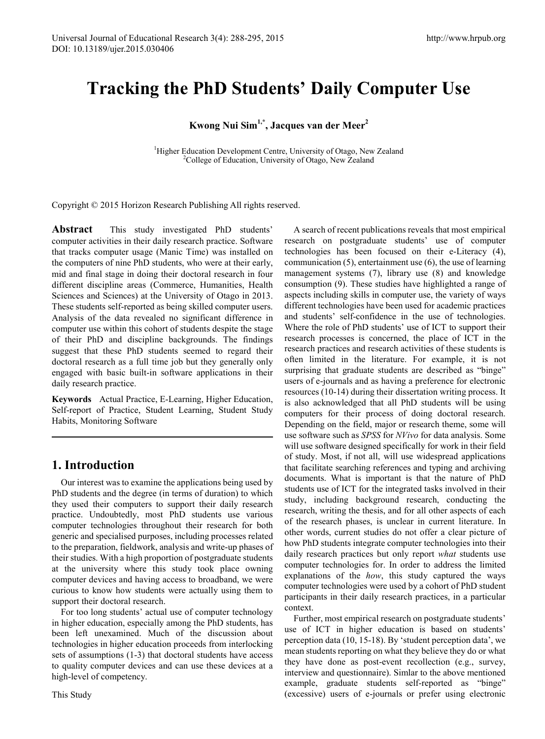# **Tracking the PhD Students' Daily Computer Use**

# **Kwong Nui Sim1,\*, Jacques van der Meer<sup>2</sup>**

<sup>1</sup>Higher Education Development Centre, University of Otago, New Zealand <sup>2</sup>Collage of Education, University of Otago, New Zealand <sup>2</sup>College of Education, University of Otago, New Zealand

Copyright © 2015 Horizon Research Publishing All rights reserved.

**Abstract** This study investigated PhD students' computer activities in their daily research practice. Software that tracks computer usage (Manic Time) was installed on the computers of nine PhD students, who were at their early, mid and final stage in doing their doctoral research in four different discipline areas (Commerce, Humanities, Health Sciences and Sciences) at the University of Otago in 2013. These students self-reported as being skilled computer users. Analysis of the data revealed no significant difference in computer use within this cohort of students despite the stage of their PhD and discipline backgrounds. The findings suggest that these PhD students seemed to regard their doctoral research as a full time job but they generally only engaged with basic built-in software applications in their daily research practice.

**Keywords** Actual Practice, E-Learning, Higher Education, Self-report of Practice, Student Learning, Student Study Habits, Monitoring Software

# **1. Introduction**

Our interest was to examine the applications being used by PhD students and the degree (in terms of duration) to which they used their computers to support their daily research practice. Undoubtedly, most PhD students use various computer technologies throughout their research for both generic and specialised purposes, including processes related to the preparation, fieldwork, analysis and write-up phases of their studies. With a high proportion of postgraduate students at the university where this study took place owning computer devices and having access to broadband, we were curious to know how students were actually using them to support their doctoral research.

For too long students' actual use of computer technology in higher education, especially among the PhD students, has been left unexamined. Much of the discussion about technologies in higher education proceeds from interlocking sets of assumptions (1-3) that doctoral students have access to quality computer devices and can use these devices at a high-level of competency.

A search of recent publications reveals that most empirical research on postgraduate students' use of computer technologies has been focused on their e-Literacy (4), communication (5), entertainment use (6), the use of learning management systems (7), library use (8) and knowledge consumption (9). These studies have highlighted a range of aspects including skills in computer use, the variety of ways different technologies have been used for academic practices and students' self-confidence in the use of technologies. Where the role of PhD students' use of ICT to support their research processes is concerned, the place of ICT in the research practices and research activities of these students is often limited in the literature. For example, it is not surprising that graduate students are described as "binge" users of e-journals and as having a preference for electronic resources (10-14) during their dissertation writing process. It is also acknowledged that all PhD students will be using computers for their process of doing doctoral research. Depending on the field, major or research theme, some will use software such as *SPSS* for *NVivo* for data analysis. Some will use software designed specifically for work in their field of study. Most, if not all, will use widespread applications that facilitate searching references and typing and archiving documents. What is important is that the nature of PhD students use of ICT for the integrated tasks involved in their study, including background research, conducting the research, writing the thesis, and for all other aspects of each of the research phases, is unclear in current literature. In other words, current studies do not offer a clear picture of how PhD students integrate computer technologies into their daily research practices but only report *what* students use computer technologies for. In order to address the limited explanations of the *how*, this study captured the ways computer technologies were used by a cohort of PhD student participants in their daily research practices, in a particular context.

Further, most empirical research on postgraduate students' use of ICT in higher education is based on students' perception data (10, 15-18). By 'student perception data', we mean students reporting on what they believe they do or what they have done as post-event recollection (e.g., survey, interview and questionnaire). Simlar to the above mentioned example, graduate students self-reported as "binge" (excessive) users of e-journals or prefer using electronic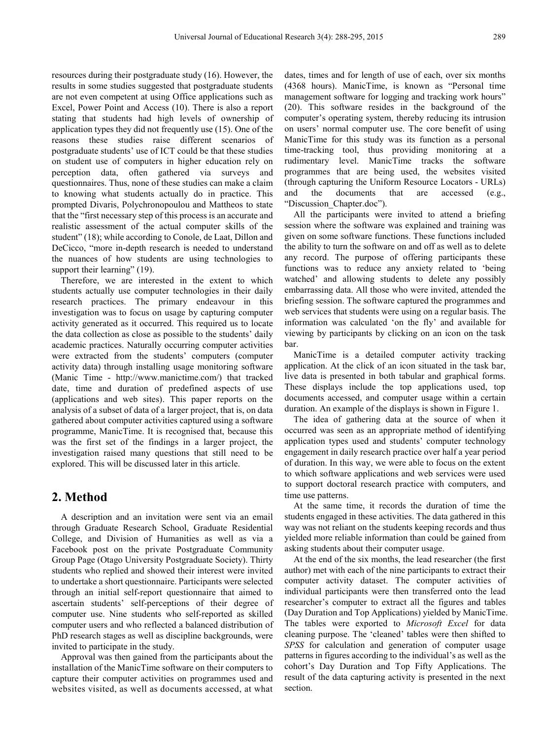resources during their postgraduate study (16). However, the results in some studies suggested that postgraduate students are not even competent at using Office applications such as Excel, Power Point and Access (10). There is also a report stating that students had high levels of ownership of application types they did not frequently use (15). One of the reasons these studies raise different scenarios of postgraduate students' use of ICT could be that these studies on student use of computers in higher education rely on perception data, often gathered via surveys and questionnaires. Thus, none of these studies can make a claim to knowing what students actually do in practice. This prompted Divaris, Polychronopoulou and Mattheos to state that the "first necessary step of this process is an accurate and realistic assessment of the actual computer skills of the student" (18); while according to Conole, de Laat, Dillon and DeCicco, "more in-depth research is needed to understand the nuances of how students are using technologies to support their learning" (19).

Therefore, we are interested in the extent to which students actually use computer technologies in their daily research practices. The primary endeavour in this investigation was to focus on usage by capturing computer activity generated as it occurred. This required us to locate the data collection as close as possible to the students' daily academic practices. Naturally occurring computer activities were extracted from the students' computers (computer activity data) through installing usage monitoring software (Manic Time - http://www.manictime.com/) that tracked date, time and duration of predefined aspects of use (applications and web sites). This paper reports on the analysis of a subset of data of a larger project, that is, on data gathered about computer activities captured using a software programme, ManicTime. It is recognised that, because this was the first set of the findings in a larger project, the investigation raised many questions that still need to be explored. This will be discussed later in this article.

# **2. Method**

A description and an invitation were sent via an email through Graduate Research School, Graduate Residential College, and Division of Humanities as well as via a Facebook post on the private Postgraduate Community Group Page (Otago University Postgraduate Society). Thirty students who replied and showed their interest were invited to undertake a short questionnaire. Participants were selected through an initial self-report questionnaire that aimed to ascertain students' self-perceptions of their degree of computer use. Nine students who self-reported as skilled computer users and who reflected a balanced distribution of PhD research stages as well as discipline backgrounds, were invited to participate in the study.

Approval was then gained from the participants about the installation of the ManicTime software on their computers to capture their computer activities on programmes used and websites visited, as well as documents accessed, at what

dates, times and for length of use of each, over six months (4368 hours). ManicTime, is known as "Personal time management software for logging and tracking work hours" (20). This software resides in the background of the computer's operating system, thereby reducing its intrusion on users' normal computer use. The core benefit of using ManicTime for this study was its function as a personal time-tracking tool, thus providing monitoring at a rudimentary level. ManicTime tracks the software programmes that are being used, the websites visited (through capturing the Uniform Resource Locators - URLs) and the documents that are accessed (e.g., "Discussion\_Chapter.doc").

All the participants were invited to attend a briefing session where the software was explained and training was given on some software functions. These functions included the ability to turn the software on and off as well as to delete any record. The purpose of offering participants these functions was to reduce any anxiety related to 'being watched' and allowing students to delete any possibly embarrassing data. All those who were invited, attended the briefing session. The software captured the programmes and web services that students were using on a regular basis. The information was calculated 'on the fly' and available for viewing by participants by clicking on an icon on the task bar.

ManicTime is a detailed computer activity tracking application. At the click of an icon situated in the task bar, live data is presented in both tabular and graphical forms. These displays include the top applications used, top documents accessed, and computer usage within a certain duration. An example of the displays is shown in Figure 1.

The idea of gathering data at the source of when it occurred was seen as an appropriate method of identifying application types used and students' computer technology engagement in daily research practice over half a year period of duration. In this way, we were able to focus on the extent to which software applications and web services were used to support doctoral research practice with computers, and time use patterns.

At the same time, it records the duration of time the students engaged in these activities. The data gathered in this way was not reliant on the students keeping records and thus yielded more reliable information than could be gained from asking students about their computer usage.

At the end of the six months, the lead researcher (the first author) met with each of the nine participants to extract their computer activity dataset. The computer activities of individual participants were then transferred onto the lead researcher's computer to extract all the figures and tables (Day Duration and Top Applications) yielded by ManicTime. The tables were exported to *Microsoft Excel* for data cleaning purpose. The 'cleaned' tables were then shifted to *SPSS* for calculation and generation of computer usage patterns in figures according to the individual's as well as the cohort's Day Duration and Top Fifty Applications. The result of the data capturing activity is presented in the next section.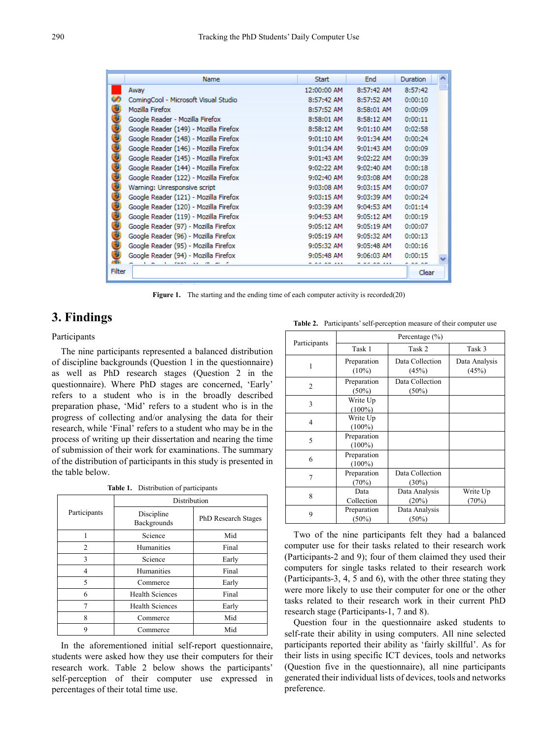|               | Name                                  | <b>Start</b> | <b>End</b>   | <b>Duration</b> |  |
|---------------|---------------------------------------|--------------|--------------|-----------------|--|
|               | Away                                  | 12:00:00 AM  | 8:57:42 AM   | 8:57:42         |  |
|               | ComingCool - Microsoft Visual Studio  | 8:57:42 AM   | 8:57:52 AM   | 0:00:10         |  |
|               | Mozilla Firefox                       | 8:57:52 AM   | 8:58:01 AM   | 0:00:09         |  |
| Đ             | Google Reader - Mozilla Firefox       | 8:58:01 AM   | 8:58:12 AM   | 0:00:11         |  |
| Э             | Google Reader (149) - Mozilla Firefox | 8:58:12 AM   | 9:01:10 AM   | 0:02:58         |  |
| €             | Google Reader (148) - Mozilla Firefox | 9:01:10 AM   | 9:01:34 AM   | 0:00:24         |  |
| Э             | Google Reader (146) - Mozilla Firefox | 9:01:34 AM   | 9:01:43 AM   | 0:00:09         |  |
| Đ             | Google Reader (145) - Mozilla Firefox | 9:01:43 AM   | 9:02:22 AM   | 0:00:39         |  |
| Đ             | Google Reader (144) - Mozilla Firefox | 9:02:22 AM   | 9:02:40 AM   | 0:00:18         |  |
| €             | Google Reader (122) - Mozilla Firefox | 9:02:40 AM   | 9:03:08 AM   | 0:00:28         |  |
| Đ             | Warning: Unresponsive script          | 9:03:08 AM   | $9:03:15$ AM | 0:00:07         |  |
| Đ             | Google Reader (121) - Mozilla Firefox | $9:03:15$ AM | 9:03:39 AM   | 0:00:24         |  |
| Э             | Google Reader (120) - Mozilla Firefox | 9:03:39 AM   | 9:04:53 AM   | 0:01:14         |  |
| Đ             | Google Reader (119) - Mozilla Firefox | 9:04:53 AM   | 9:05:12 AM   | 0:00:19         |  |
| 9             | Google Reader (97) - Mozilla Firefox  | 9:05:12 AM   | 9:05:19 AM   | 0:00:07         |  |
| Э             | Google Reader (96) - Mozilla Firefox  | 9:05:19 AM   | 9:05:32 AM   | 0:00:13         |  |
| Э             | Google Reader (95) - Mozilla Firefox  | 9:05:32 AM   | 9:05:48 AM   | 0:00:16         |  |
|               | Google Reader (94) - Mozilla Firefox  | 9:05:48 AM   | 9:06:03 AM   | 0:00:15         |  |
| <b>Filter</b> |                                       |              |              | Clear           |  |

Figure 1. The starting and the ending time of each computer activity is recorded(20)

## **3. Findings**

#### Participants

The nine participants represented a balanced distribution of discipline backgrounds (Question 1 in the questionnaire) as well as PhD research stages (Question 2 in the questionnaire). Where PhD stages are concerned, 'Early' refers to a student who is in the broadly described preparation phase, 'Mid' refers to a student who is in the progress of collecting and/or analysing the data for their research, while 'Final' refers to a student who may be in the process of writing up their dissertation and nearing the time of submission of their work for examinations. The summary of the distribution of participants in this study is presented in the table below.

| <b>Table 1.</b> Distribution of participants |
|----------------------------------------------|
|                                              |
|                                              |

|              | Distribution              |                            |  |  |
|--------------|---------------------------|----------------------------|--|--|
| Participants | Discipline<br>Backgrounds | <b>PhD Research Stages</b> |  |  |
|              | Science                   | Mid                        |  |  |
| 2            | Humanities                | Final                      |  |  |
| 3            | Science                   | Early                      |  |  |
| 4            | Humanities                | Final                      |  |  |
| 5            | Commerce                  | Early                      |  |  |
| 6            | <b>Health Sciences</b>    | Final                      |  |  |
|              | <b>Health Sciences</b>    | Early                      |  |  |
| 8            | Commerce                  | Mid                        |  |  |
| q            | Commerce                  | Mid                        |  |  |

In the aforementioned initial self-report questionnaire, students were asked how they use their computers for their research work. Table 2 below shows the participants' self-perception of their computer use expressed in percentages of their total time use.

**Table 2.** Participants' self-perception measure of their computer use

| Participants   | Task 1                   | Task 2                      | Task 3                 |
|----------------|--------------------------|-----------------------------|------------------------|
| 1              | Preparation<br>$(10\%)$  | Data Collection<br>(45%)    | Data Analysis<br>(45%) |
| $\overline{2}$ | Preparation<br>(50%)     | Data Collection<br>$(50\%)$ |                        |
| 3              | Write Up<br>$(100\%)$    |                             |                        |
| 4              | Write Up<br>$(100\%)$    |                             |                        |
| 5              | Preparation<br>$(100\%)$ |                             |                        |
| 6              | Preparation<br>$(100\%)$ |                             |                        |
| $\overline{7}$ | Preparation<br>(70%)     | Data Collection<br>$(30\%)$ |                        |
| 8              | Data<br>Collection       | Data Analysis<br>(20%)      | Write Up<br>(70%)      |
| 9              | Preparation<br>$(50\%)$  | Data Analysis<br>$(50\%)$   |                        |

Two of the nine participants felt they had a balanced computer use for their tasks related to their research work (Participants-2 and 9); four of them claimed they used their computers for single tasks related to their research work (Participants-3, 4, 5 and 6), with the other three stating they were more likely to use their computer for one or the other tasks related to their research work in their current PhD research stage (Participants-1, 7 and 8).

Question four in the questionnaire asked students to self-rate their ability in using computers. All nine selected participants reported their ability as 'fairly skillful'. As for their lists in using specific ICT devices, tools and networks (Question five in the questionnaire), all nine participants generated their individual lists of devices, tools and networks preference.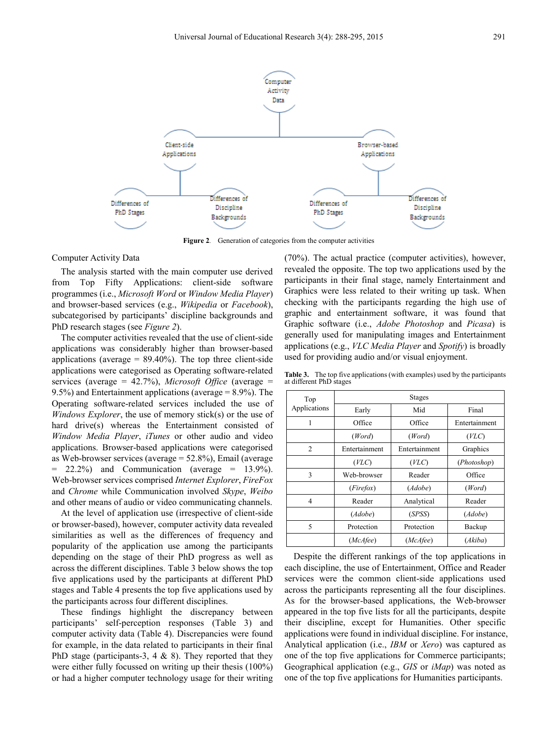

**Figure 2***.* Generation of categories from the computer activities

#### Computer Activity Data

The analysis started with the main computer use derived from Top Fifty Applications: client-side software programmes (i.e., *Microsoft Word* or *Window Media Player*) and browser-based services (e.g., *Wikipedia* or *Facebook*), subcategorised by participants' discipline backgrounds and PhD research stages (see *Figure 2*).

The computer activities revealed that the use of client-side applications was considerably higher than browser-based applications (average  $= 89.40\%$ ). The top three client-side applications were categorised as Operating software-related services (average = 42.7%), *Microsoft Office* (average = 9.5%) and Entertainment applications (average = 8.9%). The Operating software-related services included the use of *Windows Explorer*, the use of memory stick(s) or the use of hard drive(s) whereas the Entertainment consisted of *Window Media Player*, *iTunes* or other audio and video applications. Browser-based applications were categorised as Web-browser services (average = 52.8%), Email (average  $= 22.2\%$  and Communication (average  $= 13.9\%$ ). Web-browser services comprised *Internet Explorer*, *FireFox* and *Chrome* while Communication involved *Skype*, *Weibo* and other means of audio or video communicating channels.

At the level of application use (irrespective of client-side or browser-based), however, computer activity data revealed similarities as well as the differences of frequency and popularity of the application use among the participants depending on the stage of their PhD progress as well as across the different disciplines. Table 3 below shows the top five applications used by the participants at different PhD stages and Table 4 presents the top five applications used by the participants across four different disciplines.

These findings highlight the discrepancy between participants' self-perception responses (Table 3) and computer activity data (Table 4). Discrepancies were found for example, in the data related to participants in their final PhD stage (participants-3, 4  $\&$  8). They reported that they were either fully focussed on writing up their thesis (100%) or had a higher computer technology usage for their writing

(70%). The actual practice (computer activities), however, revealed the opposite. The top two applications used by the participants in their final stage, namely Entertainment and Graphics were less related to their writing up task. When checking with the participants regarding the high use of graphic and entertainment software, it was found that Graphic software (i.e., *Adobe Photoshop* and *Picasa*) is generally used for manipulating images and Entertainment applications (e.g., *VLC Media Player* and *Spotify*) is broadly used for providing audio and/or visual enjoyment.

**Table 3.** The top five applications (with examples) used by the participants at different PhD stages

| <b>Stages</b> |               |               |  |  |
|---------------|---------------|---------------|--|--|
| Early         | Mid           | Final         |  |  |
| Office        | Office        | Entertainment |  |  |
| (Word)        | (Word)        | ( VLC)        |  |  |
| Entertainment | Entertainment | Graphics      |  |  |
| ( VLC)        | (VLC)         | (Photoshop)   |  |  |
| Web-browser   | Reader        | Office        |  |  |
| (Firefox)     | (Adobe)       | (Word)        |  |  |
| Reader        | Analytical    | Reader        |  |  |
| (Adobe)       | (SPSS)        | (Adobe)       |  |  |
| Protection    | Protection    | Backup        |  |  |
| (McAfee)      | (McAfee)      | (Akiba)       |  |  |
|               |               |               |  |  |

Despite the different rankings of the top applications in each discipline, the use of Entertainment, Office and Reader services were the common client-side applications used across the participants representing all the four disciplines. As for the browser-based applications, the Web-browser appeared in the top five lists for all the participants, despite their discipline, except for Humanities. Other specific applications were found in individual discipline. For instance, Analytical application (i.e., *IBM* or *Xero*) was captured as one of the top five applications for Commerce participants; Geographical application (e.g., *GIS* or *iMap*) was noted as one of the top five applications for Humanities participants.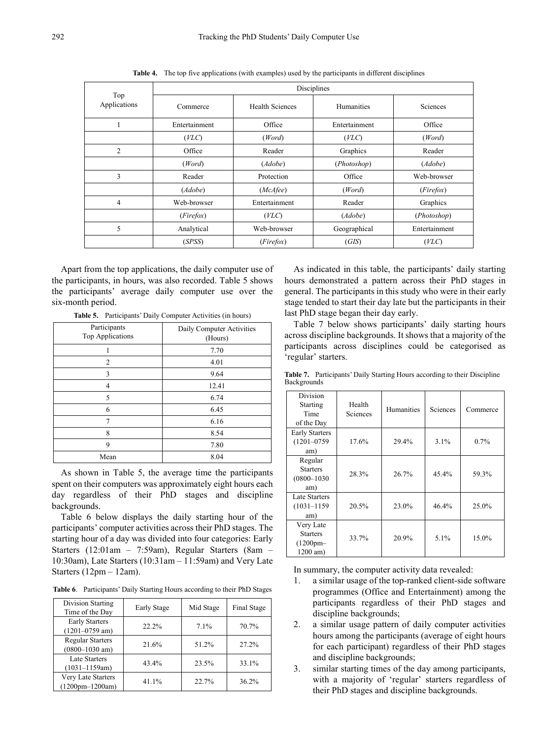|                     | Disciplines   |                        |                   |                 |  |
|---------------------|---------------|------------------------|-------------------|-----------------|--|
| Top<br>Applications | Commerce      | <b>Health Sciences</b> | <b>Humanities</b> | <b>Sciences</b> |  |
|                     | Entertainment | Office                 | Entertainment     | Office          |  |
|                     | (ע)           | (Word)                 | (עC)              | (Word)          |  |
| $\overline{2}$      | Office        | Reader                 | Graphics          | Reader          |  |
|                     | (Word)        | (Adobe)                | (Photoshop)       | (Adobe)         |  |
| 3                   | Reader        | Protection             | Office            | Web-browser     |  |
|                     | (Adobe)       | (McAfee)               | (Word)            | (Firefox)       |  |
| 4                   | Web-browser   | Entertainment          | Reader            | Graphics        |  |
|                     | (Firefox)     | (עC)                   | (Adobe)           | (Photoshop)     |  |
| 5                   | Analytical    | Web-browser            | Geographical      | Entertainment   |  |
|                     | (SPSS)        | (Firefox)              | (GIS)             | ( VLC)          |  |

**Table 4.** The top five applications (with examples) used by the participants in different disciplines

Apart from the top applications, the daily computer use of the participants, in hours, was also recorded. Table 5 shows the participants' average daily computer use over the six-month period.

**Table 5.** Participants' Daily Computer Activities (in hours)

| Participants<br>Top Applications | Daily Computer Activities<br>(Hours) |
|----------------------------------|--------------------------------------|
|                                  | 7.70                                 |
| $\overline{2}$                   | 4.01                                 |
| 3                                | 9.64                                 |
| 4                                | 12.41                                |
| 5                                | 6.74                                 |
| 6                                | 6.45                                 |
| 7                                | 6.16                                 |
| 8                                | 8.54                                 |
| 9                                | 7.80                                 |
| Mean                             | 8.04                                 |

As shown in Table 5, the average time the participants spent on their computers was approximately eight hours each day regardless of their PhD stages and discipline backgrounds.

Table 6 below displays the daily starting hour of the participants' computer activities across their PhD stages. The starting hour of a day was divided into four categories: Early Starters (12:01am – 7:59am), Regular Starters (8am – 10:30am), Late Starters (10:31am – 11:59am) and Very Late Starters (12pm – 12am).

**Table 6**. Participants' Daily Starting Hours according to their PhD Stages

| Division Starting<br>Time of the Day          | Early Stage | Mid Stage | Final Stage |
|-----------------------------------------------|-------------|-----------|-------------|
| <b>Early Starters</b><br>$(1201 - 0759$ am)   | 22.2%       | 7.1%      | 70.7%       |
| <b>Regular Starters</b><br>$(0800 - 1030$ am) | 21.6%       | 51.2%     | 27.2%       |
| <b>Late Starters</b><br>$(1031 - 1159$ am)    | 43.4%       | 23.5%     | 33.1%       |
| Very Late Starters<br>$(1200pm-1200am)$       | 41.1%       | 22.7%     | 36.2%       |

As indicated in this table, the participants' daily starting hours demonstrated a pattern across their PhD stages in general. The participants in this study who were in their early stage tended to start their day late but the participants in their last PhD stage began their day early.

Table 7 below shows participants' daily starting hours across discipline backgrounds. It shows that a majority of the participants across disciplines could be categorised as 'regular' starters.

| <b>Backgrounds</b>                                   |                    |            |                 |          |
|------------------------------------------------------|--------------------|------------|-----------------|----------|
| Division<br>Starting<br>Time<br>of the Day           | Health<br>Sciences | Humanities | <b>Sciences</b> | Commerce |
| <b>Early Starters</b><br>$(1201 - 0759$<br>am)       | 17.6%              | 29.4%      | $3.1\%$         | $0.7\%$  |
| Regular<br><b>Starters</b><br>$(0800 - 1030)$<br>am) | 28.3%              | 26.7%      | 45.4%           | 59.3%    |
| Late Starters<br>$(1031 - 1159)$<br>am)              | 20.5%              | 23.0%      | 46.4%           | 25.0%    |
| Very Late<br><b>Starters</b><br>$(1200$ pm $-$       | 33.7%              | 20.9%      | 5.1%            | 15.0%    |

**Table 7.** Participants' Daily Starting Hours according to their Discipline Backgrounds

In summary, the computer activity data revealed:

1200 am)

- 1. a similar usage of the top-ranked client-side software programmes (Office and Entertainment) among the participants regardless of their PhD stages and discipline backgrounds;
- 2. a similar usage pattern of daily computer activities hours among the participants (average of eight hours for each participant) regardless of their PhD stages and discipline backgrounds;
- 3. similar starting times of the day among participants, with a majority of 'regular' starters regardless of their PhD stages and discipline backgrounds.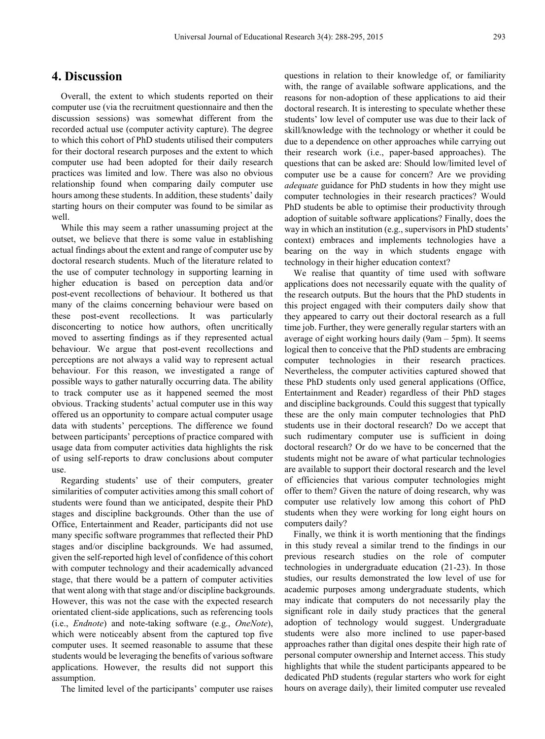### **4. Discussion**

Overall, the extent to which students reported on their computer use (via the recruitment questionnaire and then the discussion sessions) was somewhat different from the recorded actual use (computer activity capture). The degree to which this cohort of PhD students utilised their computers for their doctoral research purposes and the extent to which computer use had been adopted for their daily research practices was limited and low. There was also no obvious relationship found when comparing daily computer use hours among these students. In addition, these students' daily starting hours on their computer was found to be similar as well.

While this may seem a rather unassuming project at the outset, we believe that there is some value in establishing actual findings about the extent and range of computer use by doctoral research students. Much of the literature related to the use of computer technology in supporting learning in higher education is based on perception data and/or post-event recollections of behaviour. It bothered us that many of the claims concerning behaviour were based on these post-event recollections. It was particularly disconcerting to notice how authors, often uncritically moved to asserting findings as if they represented actual behaviour. We argue that post-event recollections and perceptions are not always a valid way to represent actual behaviour. For this reason, we investigated a range of possible ways to gather naturally occurring data. The ability to track computer use as it happened seemed the most obvious. Tracking students' actual computer use in this way offered us an opportunity to compare actual computer usage data with students' perceptions. The difference we found between participants' perceptions of practice compared with usage data from computer activities data highlights the risk of using self-reports to draw conclusions about computer use.

Regarding students' use of their computers, greater similarities of computer activities among this small cohort of students were found than we anticipated, despite their PhD stages and discipline backgrounds. Other than the use of Office, Entertainment and Reader, participants did not use many specific software programmes that reflected their PhD stages and/or discipline backgrounds. We had assumed, given the self-reported high level of confidence of this cohort with computer technology and their academically advanced stage, that there would be a pattern of computer activities that went along with that stage and/or discipline backgrounds. However, this was not the case with the expected research orientated client-side applications, such as referencing tools (i.e., *Endnote*) and note-taking software (e.g., *OneNote*), which were noticeably absent from the captured top five computer uses. It seemed reasonable to assume that these students would be leveraging the benefits of various software applications. However, the results did not support this assumption.

The limited level of the participants' computer use raises

questions in relation to their knowledge of, or familiarity with, the range of available software applications, and the reasons for non-adoption of these applications to aid their doctoral research. It is interesting to speculate whether these students' low level of computer use was due to their lack of skill/knowledge with the technology or whether it could be due to a dependence on other approaches while carrying out their research work (i.e., paper-based approaches). The questions that can be asked are: Should low/limited level of computer use be a cause for concern? Are we providing *adequate* guidance for PhD students in how they might use computer technologies in their research practices? Would PhD students be able to optimise their productivity through adoption of suitable software applications? Finally, does the way in which an institution (e.g., supervisors in PhD students' context) embraces and implements technologies have a bearing on the way in which students engage with technology in their higher education context?

We realise that quantity of time used with software applications does not necessarily equate with the quality of the research outputs. But the hours that the PhD students in this project engaged with their computers daily show that they appeared to carry out their doctoral research as a full time job. Further, they were generally regular starters with an average of eight working hours daily (9am – 5pm). It seems logical then to conceive that the PhD students are embracing computer technologies in their research practices. Nevertheless, the computer activities captured showed that these PhD students only used general applications (Office, Entertainment and Reader) regardless of their PhD stages and discipline backgrounds. Could this suggest that typically these are the only main computer technologies that PhD students use in their doctoral research? Do we accept that such rudimentary computer use is sufficient in doing doctoral research? Or do we have to be concerned that the students might not be aware of what particular technologies are available to support their doctoral research and the level of efficiencies that various computer technologies might offer to them? Given the nature of doing research, why was computer use relatively low among this cohort of PhD students when they were working for long eight hours on computers daily?

Finally, we think it is worth mentioning that the findings in this study reveal a similar trend to the findings in our previous research studies on the role of computer technologies in undergraduate education (21-23). In those studies, our results demonstrated the low level of use for academic purposes among undergraduate students, which may indicate that computers do not necessarily play the significant role in daily study practices that the general adoption of technology would suggest. Undergraduate students were also more inclined to use paper-based approaches rather than digital ones despite their high rate of personal computer ownership and Internet access. This study highlights that while the student participants appeared to be dedicated PhD students (regular starters who work for eight hours on average daily), their limited computer use revealed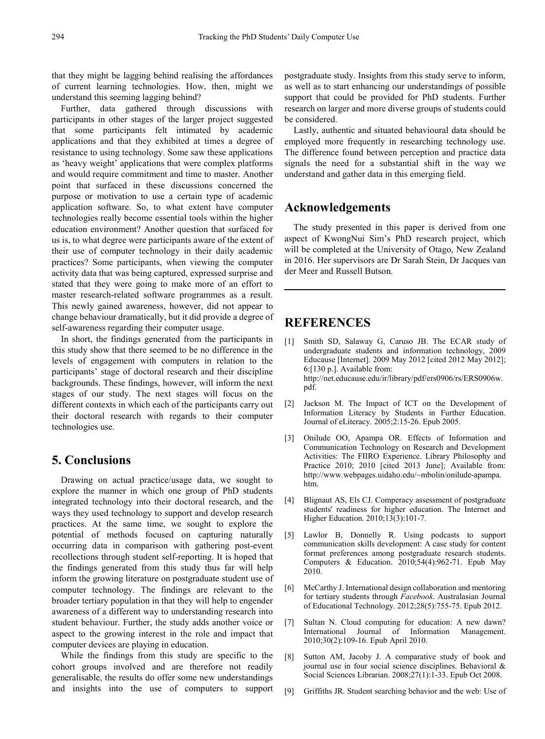that they might be lagging behind realising the affordances of current learning technologies. How, then, might we understand this seeming lagging behind?

Further, data gathered through discussions with participants in other stages of the larger project suggested that some participants felt intimated by academic applications and that they exhibited at times a degree of resistance to using technology. Some saw these applications as 'heavy weight' applications that were complex platforms and would require commitment and time to master. Another point that surfaced in these discussions concerned the purpose or motivation to use a certain type of academic application software. So, to what extent have computer technologies really become essential tools within the higher education environment? Another question that surfaced for us is, to what degree were participants aware of the extent of their use of computer technology in their daily academic practices? Some participants, when viewing the computer activity data that was being captured, expressed surprise and stated that they were going to make more of an effort to master research-related software programmes as a result. This newly gained awareness, however, did not appear to change behaviour dramatically, but it did provide a degree of self-awareness regarding their computer usage.

In short, the findings generated from the participants in this study show that there seemed to be no difference in the levels of engagement with computers in relation to the participants' stage of doctoral research and their discipline backgrounds. These findings, however, will inform the next stages of our study. The next stages will focus on the different contexts in which each of the participants carry out their doctoral research with regards to their computer technologies use.

# **5. Conclusions**

Drawing on actual practice/usage data, we sought to explore the manner in which one group of PhD students integrated technology into their doctoral research, and the ways they used technology to support and develop research practices. At the same time, we sought to explore the potential of methods focused on capturing naturally occurring data in comparison with gathering post-event recollections through student self-reporting. It is hoped that the findings generated from this study thus far will help inform the growing literature on postgraduate student use of computer technology. The findings are relevant to the broader tertiary population in that they will help to engender awareness of a different way to understanding research into student behaviour. Further, the study adds another voice or aspect to the growing interest in the role and impact that computer devices are playing in education.

While the findings from this study are specific to the cohort groups involved and are therefore not readily generalisable, the results do offer some new understandings and insights into the use of computers to support

postgraduate study. Insights from this study serve to inform, as well as to start enhancing our understandings of possible support that could be provided for PhD students. Further research on larger and more diverse groups of students could be considered.

Lastly, authentic and situated behavioural data should be employed more frequently in researching technology use. The difference found between perception and practice data signals the need for a substantial shift in the way we understand and gather data in this emerging field.

# **Acknowledgements**

The study presented in this paper is derived from one aspect of KwongNui Sim's PhD research project, which will be completed at the University of Otago, New Zealand in 2016. Her supervisors are Dr Sarah Stein, Dr Jacques van der Meer and Russell Butson.

# **REFERENCES**

- [1] Smith SD, Salaway G, Caruso JB. The ECAR study of undergraduate students and information technology, 2009 Educause [Internet]. 2009 May 2012 [cited 2012 May 2012]; 6:[130 p.]. Available from: http://net.educause.edu/ir/library/pdf/ers0906/rs/ERS0906w. pdf.
- [2] Jackson M. The Impact of ICT on the Development of Information Literacy by Students in Further Education. Journal of eLiteracy. 2005;2:15-26. Epub 2005.
- [3] Onilude OO, Apampa OR. Effects of Information and Communication Technology on Research and Development Activities: The FIIRO Experience. Library Philosophy and Practice 2010; 2010 [cited 2013 June]; Available from: http://www.webpages.uidaho.edu/~mbolin/onilude-apampa. htm.
- [4] Blignaut AS, Els CJ. Comperacy assessment of postgraduate students' readiness for higher education. The Internet and Higher Education. 2010;13(3):101-7.
- [5] Lawlor B, Donnelly R. Using podcasts to support communication skills development: A case study for content format preferences among postgraduate research students. Computers & Education. 2010;54(4):962-71. Epub May 2010.
- [6] McCarthy J. International design collaboration and mentoring for tertiary students through *Facebook*. Australasian Journal of Educational Technology. 2012;28(5):755-75. Epub 2012.
- [7] Sultan N. Cloud computing for education: A new dawn? International Journal of Information Management. 2010;30(2):109-16. Epub April 2010.
- [8] Sutton AM, Jacoby J. A comparative study of book and journal use in four social science disciplines. Behavioral & Social Sciences Librarian. 2008;27(1):1-33. Epub Oct 2008.
- [9] Griffiths JR. Student searching behavior and the web: Use of